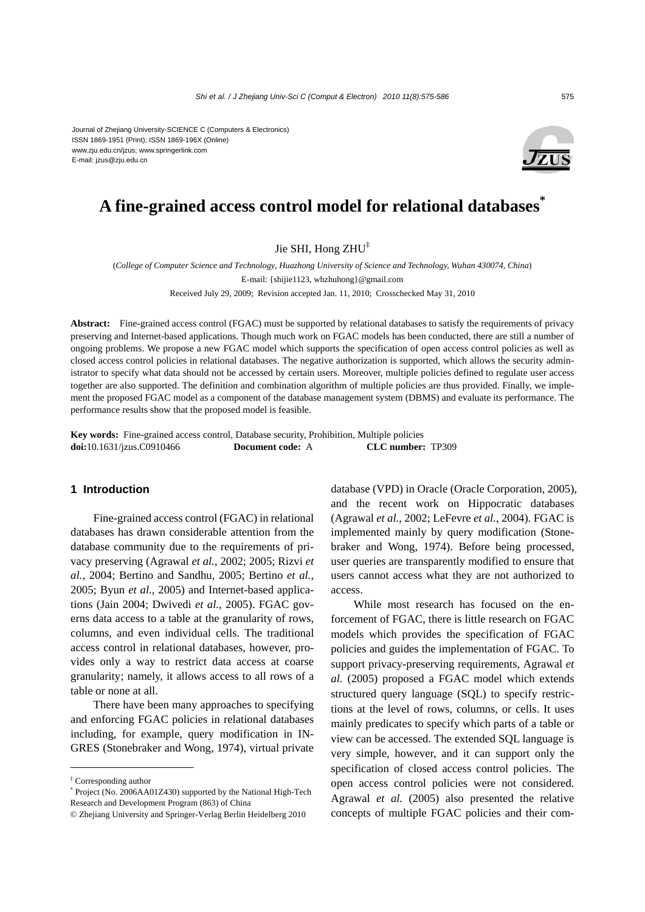Journal of Zhejiang University-SCIENCE C (Computers & Electronics) ISSN 1869-1951 (Print); ISSN 1869-196X (Online) www.zju.edu.cn/jzus; www.springerlink.com E-mail: jzus@zju.edu.cn



# **A fine-grained access control model for relational databases\***

Jie SHI, Hong ZHU<sup>‡</sup>

(*College of Computer Science and Technology, Huazhong University of Science and Technology, Wuhan 430074, China*) E-mail: {shijie1123, whzhuhong}@gmail.com Received July 29, 2009; Revision accepted Jan. 11, 2010; Crosschecked May 31, 2010

**Abstract:** Fine-grained access control (FGAC) must be supported by relational databases to satisfy the requirements of privacy preserving and Internet-based applications. Though much work on FGAC models has been conducted, there are still a number of ongoing problems. We propose a new FGAC model which supports the specification of open access control policies as well as closed access control policies in relational databases. The negative authorization is supported, which allows the security administrator to specify what data should not be accessed by certain users. Moreover, multiple policies defined to regulate user access together are also supported. The definition and combination algorithm of multiple policies are thus provided. Finally, we implement the proposed FGAC model as a component of the database management system (DBMS) and evaluate its performance. The performance results show that the proposed model is feasible.

**Key words:** Fine-grained access control, Database security, Prohibition, Multiple policies **doi:**10.1631/jzus.C0910466 **Document code:** A **CLC number:** TP309

## **1 Introduction**

Fine-grained access control (FGAC) in relational databases has drawn considerable attention from the database community due to the requirements of privacy preserving (Agrawal *et al.*, 2002; 2005; Rizvi *et al.*, 2004; Bertino and Sandhu, 2005; Bertino *et al.*, 2005; Byun *et al.*, 2005) and Internet-based applications (Jain 2004; Dwivedi *et al.*, 2005). FGAC governs data access to a table at the granularity of rows, columns, and even individual cells. The traditional access control in relational databases, however, provides only a way to restrict data access at coarse granularity; namely, it allows access to all rows of a table or none at all.

There have been many approaches to specifying and enforcing FGAC policies in relational databases including, for example, query modification in IN-GRES (Stonebraker and Wong, 1974), virtual private

database (VPD) in Oracle (Oracle Corporation, 2005), and the recent work on Hippocratic databases (Agrawal *et al.*, 2002; LeFevre *et al.*, 2004). FGAC is implemented mainly by query modification (Stonebraker and Wong, 1974). Before being processed, user queries are transparently modified to ensure that users cannot access what they are not authorized to access.

While most research has focused on the enforcement of FGAC, there is little research on FGAC models which provides the specification of FGAC policies and guides the implementation of FGAC. To support privacy-preserving requirements, Agrawal *et al.* (2005) proposed a FGAC model which extends structured query language (SQL) to specify restrictions at the level of rows, columns, or cells. It uses mainly predicates to specify which parts of a table or view can be accessed. The extended SQL language is very simple, however, and it can support only the specification of closed access control policies. The open access control policies were not considered. Agrawal *et al.* (2005) also presented the relative concepts of multiple FGAC policies and their com-

<sup>‡</sup> Corresponding author

<sup>\*</sup> Project (No. 2006AA01Z430) supported by the National High-Tech Research and Development Program (863) of China

<sup>©</sup> Zhejiang University and Springer-Verlag Berlin Heidelberg 2010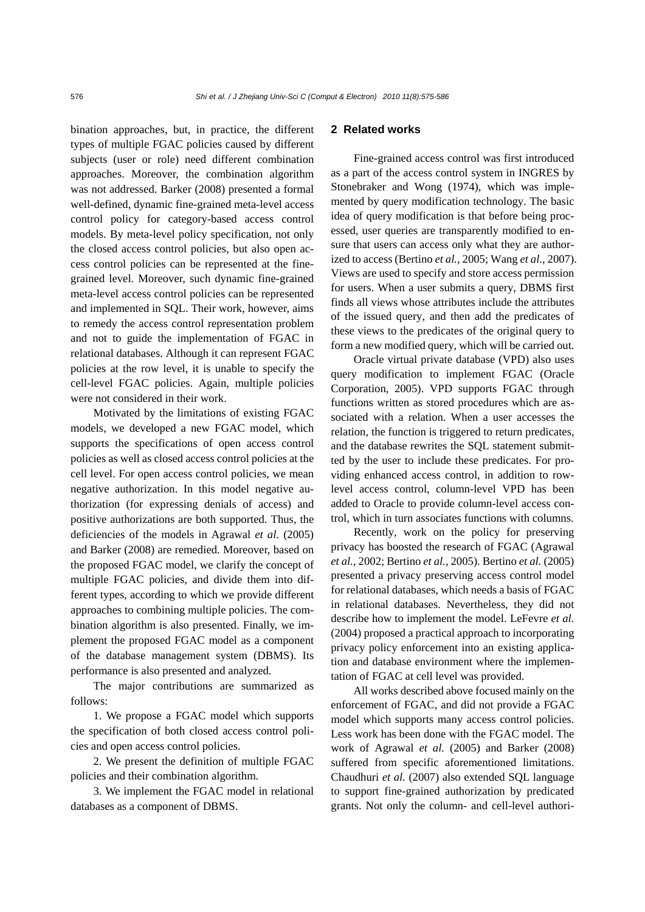bination approaches, but, in practice, the different types of multiple FGAC policies caused by different subjects (user or role) need different combination approaches. Moreover, the combination algorithm was not addressed. Barker (2008) presented a formal well-defined, dynamic fine-grained meta-level access control policy for category-based access control models. By meta-level policy specification, not only the closed access control policies, but also open access control policies can be represented at the finegrained level. Moreover, such dynamic fine-grained meta-level access control policies can be represented and implemented in SQL. Their work, however, aims to remedy the access control representation problem and not to guide the implementation of FGAC in relational databases. Although it can represent FGAC policies at the row level, it is unable to specify the cell-level FGAC policies. Again, multiple policies were not considered in their work.

Motivated by the limitations of existing FGAC models, we developed a new FGAC model, which supports the specifications of open access control policies as well as closed access control policies at the cell level. For open access control policies, we mean negative authorization. In this model negative authorization (for expressing denials of access) and positive authorizations are both supported. Thus, the deficiencies of the models in Agrawal *et al.* (2005) and Barker (2008) are remedied. Moreover, based on the proposed FGAC model, we clarify the concept of multiple FGAC policies, and divide them into different types, according to which we provide different approaches to combining multiple policies. The combination algorithm is also presented. Finally, we implement the proposed FGAC model as a component of the database management system (DBMS). Its performance is also presented and analyzed.

The major contributions are summarized as follows:

1. We propose a FGAC model which supports the specification of both closed access control policies and open access control policies.

2. We present the definition of multiple FGAC policies and their combination algorithm.

3. We implement the FGAC model in relational databases as a component of DBMS.

# **2 Related works**

Fine-grained access control was first introduced as a part of the access control system in INGRES by Stonebraker and Wong (1974), which was implemented by query modification technology. The basic idea of query modification is that before being processed, user queries are transparently modified to ensure that users can access only what they are authorized to access (Bertino *et al.*, 2005; Wang *et al.*, 2007). Views are used to specify and store access permission for users. When a user submits a query, DBMS first finds all views whose attributes include the attributes of the issued query, and then add the predicates of these views to the predicates of the original query to form a new modified query, which will be carried out.

Oracle virtual private database (VPD) also uses query modification to implement FGAC (Oracle Corporation, 2005). VPD supports FGAC through functions written as stored procedures which are associated with a relation. When a user accesses the relation, the function is triggered to return predicates, and the database rewrites the SQL statement submitted by the user to include these predicates. For providing enhanced access control, in addition to rowlevel access control, column-level VPD has been added to Oracle to provide column-level access control, which in turn associates functions with columns.

Recently, work on the policy for preserving privacy has boosted the research of FGAC (Agrawal *et al.*, 2002; Bertino *et al.*, 2005). Bertino *et al.* (2005) presented a privacy preserving access control model for relational databases, which needs a basis of FGAC in relational databases. Nevertheless, they did not describe how to implement the model. LeFevre *et al.* (2004) proposed a practical approach to incorporating privacy policy enforcement into an existing application and database environment where the implementation of FGAC at cell level was provided.

All works described above focused mainly on the enforcement of FGAC, and did not provide a FGAC model which supports many access control policies. Less work has been done with the FGAC model. The work of Agrawal *et al.* (2005) and Barker (2008) suffered from specific aforementioned limitations. Chaudhuri *et al.* (2007) also extended SQL language to support fine-grained authorization by predicated grants. Not only the column- and cell-level authori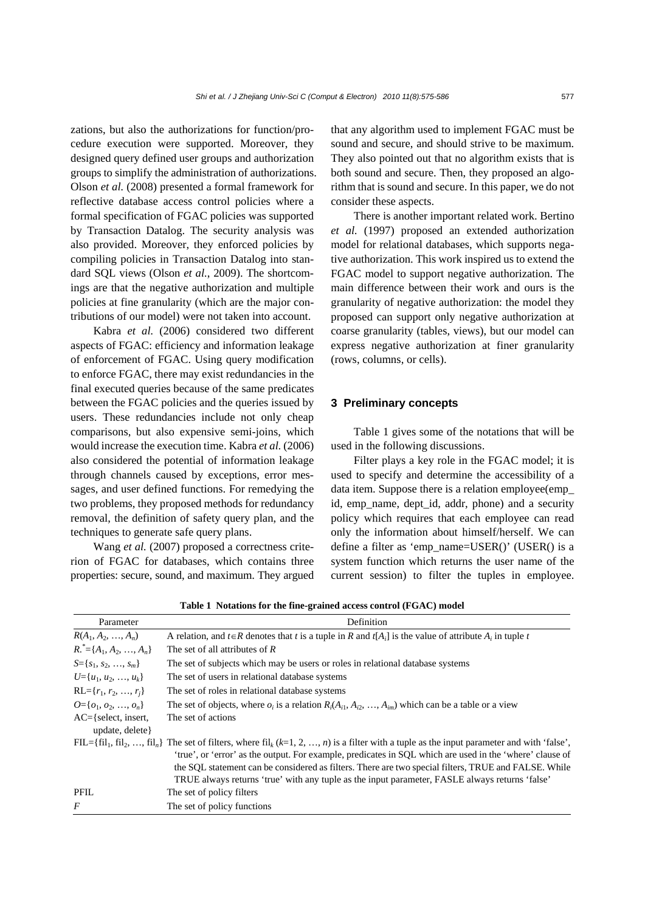zations, but also the authorizations for function/procedure execution were supported. Moreover, they designed query defined user groups and authorization groups to simplify the administration of authorizations. Olson *et al.* (2008) presented a formal framework for reflective database access control policies where a formal specification of FGAC policies was supported by Transaction Datalog. The security analysis was also provided. Moreover, they enforced policies by compiling policies in Transaction Datalog into standard SQL views (Olson *et al.*, 2009). The shortcomings are that the negative authorization and multiple policies at fine granularity (which are the major contributions of our model) were not taken into account.

Kabra *et al.* (2006) considered two different aspects of FGAC: efficiency and information leakage of enforcement of FGAC. Using query modification to enforce FGAC, there may exist redundancies in the final executed queries because of the same predicates between the FGAC policies and the queries issued by users. These redundancies include not only cheap comparisons, but also expensive semi-joins, which would increase the execution time. Kabra *et al.* (2006) also considered the potential of information leakage through channels caused by exceptions, error messages, and user defined functions. For remedying the two problems, they proposed methods for redundancy removal, the definition of safety query plan, and the techniques to generate safe query plans.

Wang *et al.* (2007) proposed a correctness criterion of FGAC for databases, which contains three properties: secure, sound, and maximum. They argued that any algorithm used to implement FGAC must be sound and secure, and should strive to be maximum. They also pointed out that no algorithm exists that is both sound and secure. Then, they proposed an algorithm that is sound and secure. In this paper, we do not consider these aspects.

There is another important related work. Bertino *et al.* (1997) proposed an extended authorization model for relational databases, which supports negative authorization. This work inspired us to extend the FGAC model to support negative authorization. The main difference between their work and ours is the granularity of negative authorization: the model they proposed can support only negative authorization at coarse granularity (tables, views), but our model can express negative authorization at finer granularity (rows, columns, or cells).

#### **3 Preliminary concepts**

Table 1 gives some of the notations that will be used in the following discussions.

Filter plays a key role in the FGAC model; it is used to specify and determine the accessibility of a data item. Suppose there is a relation employee(emp\_ id, emp\_name, dept\_id, addr, phone) and a security policy which requires that each employee can read only the information about himself/herself. We can define a filter as 'emp\_name=USER()' (USER() is a system function which returns the user name of the current session) to filter the tuples in employee.

| Parameter                                   | Definition                                                                                                                                                                                                                                                                                                                                                                                                                                                                                                       |  |  |
|---------------------------------------------|------------------------------------------------------------------------------------------------------------------------------------------------------------------------------------------------------------------------------------------------------------------------------------------------------------------------------------------------------------------------------------------------------------------------------------------------------------------------------------------------------------------|--|--|
| $R(A_1, A_2, , A_n)$                        | A relation, and $t \in R$ denotes that t is a tuple in R and $t[A_i]$ is the value of attribute $A_i$ in tuple t                                                                                                                                                                                                                                                                                                                                                                                                 |  |  |
| $R^* = \{A_1, A_2, , A_n\}$                 | The set of all attributes of $R$                                                                                                                                                                                                                                                                                                                                                                                                                                                                                 |  |  |
| $S = \{s_1, s_2, , s_m\}$                   | The set of subjects which may be users or roles in relational database systems                                                                                                                                                                                                                                                                                                                                                                                                                                   |  |  |
| $U = \{u_1, u_2, \ldots, u_k\}$             | The set of users in relational database systems                                                                                                                                                                                                                                                                                                                                                                                                                                                                  |  |  |
| $RL = \{r_1, r_2, , r_i\}$                  | The set of roles in relational database systems                                                                                                                                                                                                                                                                                                                                                                                                                                                                  |  |  |
| $Q = \{o_1, o_2, , o_n\}$                   | The set of objects, where $o_i$ is a relation $R_i(A_{i1}, A_{i2}, , A_{im})$ which can be a table or a view                                                                                                                                                                                                                                                                                                                                                                                                     |  |  |
| $AC =$ {select, insert,<br>update, delete } | The set of actions                                                                                                                                                                                                                                                                                                                                                                                                                                                                                               |  |  |
|                                             | FIL={fil <sub>1</sub> , fil <sub>2</sub> , , fil <sub>n</sub> } The set of filters, where fil <sub>k</sub> (k=1, 2, , n) is a filter with a tuple as the input parameter and with 'false',<br>'true', or 'error' as the output. For example, predicates in SQL which are used in the 'where' clause of<br>the SQL statement can be considered as filters. There are two special filters, TRUE and FALSE. While<br>TRUE always returns 'true' with any tuple as the input parameter, FASLE always returns 'false' |  |  |
| PFIL                                        | The set of policy filters                                                                                                                                                                                                                                                                                                                                                                                                                                                                                        |  |  |
| $\overline{F}$                              | The set of policy functions                                                                                                                                                                                                                                                                                                                                                                                                                                                                                      |  |  |

**Table 1 Notations for the fine-grained access control (FGAC) model**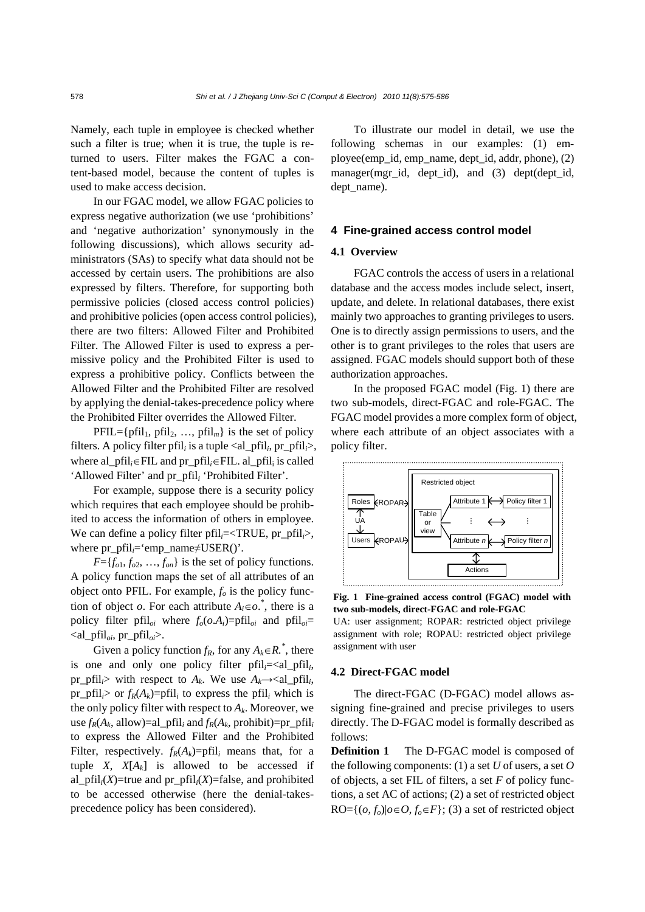Namely, each tuple in employee is checked whether such a filter is true; when it is true, the tuple is returned to users. Filter makes the FGAC a content-based model, because the content of tuples is used to make access decision.

In our FGAC model, we allow FGAC policies to express negative authorization (we use 'prohibitions' and 'negative authorization' synonymously in the following discussions), which allows security administrators (SAs) to specify what data should not be accessed by certain users. The prohibitions are also expressed by filters. Therefore, for supporting both permissive policies (closed access control policies) and prohibitive policies (open access control policies), there are two filters: Allowed Filter and Prohibited Filter. The Allowed Filter is used to express a permissive policy and the Prohibited Filter is used to express a prohibitive policy. Conflicts between the Allowed Filter and the Prohibited Filter are resolved by applying the denial-takes-precedence policy where the Prohibited Filter overrides the Allowed Filter.

 $PFIL = {pfil}_1, pfil}_2, ..., pfil}_m}$  is the set of policy filters. A policy filter pfil<sub>*i*</sub> is a tuple  $\langle$ al\_pfil<sub>*i*</sub>, pr\_pfil<sub>*i*</sub>>, where al\_pfil<sub>*i*</sub>∈FIL and pr\_pfil<sub>*i*</sub>∈FIL. al\_pfil<sub>i</sub> is called 'Allowed Filter' and pr\_pfil*i* 'Prohibited Filter'.

For example, suppose there is a security policy which requires that each employee should be prohibited to access the information of others in employee. We can define a policy filter pfil<sub>*i*</sub>=<TRUE, pr\_pfil<sub>*i*</sub>>, where pr\_pfil<sub>*i*</sub>='emp\_name≠USER()'.

 $F = \{f_{o1}, f_{o2}, \ldots, f_{on}\}$  is the set of policy functions. A policy function maps the set of all attributes of an object onto PFIL. For example,  $f<sub>o</sub>$  is the policy function of object *o*. For each attribute  $A_i \in \infty$ , there is a policy filter pfil<sub>oi</sub> where  $f_o(o.A_i) = pfnl_o$  and  $pfnl_o =$  $\langle$ al\_pfil<sub>oi</sub>, pr\_pfil<sub>oi</sub> $\rangle$ .

Given a policy function  $f_R$ , for any  $A_k \in R$ <sup>\*</sup>, there is one and only one policy filter  $pfil<sub>i</sub>=<$ al\_pfil<sub>i</sub>, pr\_pfil<sub>i</sub>> with respect to  $A_k$ . We use  $A_k \rightarrow \text{val\_pfil}_i$ , pr pfil<sub>i</sub> $>$  or  $f_R(A_k)=$ pfil<sub>i</sub> to express the pfil<sub>i</sub> which is the only policy filter with respect to  $A_k$ . Moreover, we use  $f_R(A_k, \text{allow}) = \text{al\_pfil}_i$  and  $f_R(A_k, \text{prohibit}) = \text{pr\_pfil}_i$ to express the Allowed Filter and the Prohibited Filter, respectively.  $f_R(A_k)=p\text{fil}_i$  means that, for a tuple *X*,  $X[A_k]$  is allowed to be accessed if al\_pfil $_i$ (*X*)=true and pr\_pfil $_i$ (*X*)=false, and prohibited to be accessed otherwise (here the denial-takesprecedence policy has been considered).

To illustrate our model in detail, we use the following schemas in our examples: (1) employee(emp\_id, emp\_name, dept\_id, addr, phone), (2) manager(mgr id, dept id), and  $(3)$  dept(dept id, dept\_name).

## **4 Fine-grained access control model**

#### **4.1 Overview**

FGAC controls the access of users in a relational database and the access modes include select, insert, update, and delete. In relational databases, there exist mainly two approaches to granting privileges to users. One is to directly assign permissions to users, and the other is to grant privileges to the roles that users are assigned. FGAC models should support both of these authorization approaches.

In the proposed FGAC model (Fig. 1) there are two sub-models, direct-FGAC and role-FGAC. The FGAC model provides a more complex form of object, where each attribute of an object associates with a policy filter.



**Fig. 1 Fine-grained access control (FGAC) model with two sub-models, direct-FGAC and role-FGAC** 

UA: user assignment; ROPAR: restricted object privilege assignment with role; ROPAU: restricted object privilege assignment with user

# **4.2 Direct-FGAC model**

The direct-FGAC (D-FGAC) model allows assigning fine-grained and precise privileges to users directly. The D-FGAC model is formally described as follows:

**Definition 1** The D-FGAC model is composed of the following components: (1) a set *U* of users, a set *O* of objects, a set FIL of filters, a set *F* of policy functions, a set AC of actions; (2) a set of restricted object  $RO = \{ (o, f_o) | o \in O, f_o \in F \}; (3)$  a set of restricted object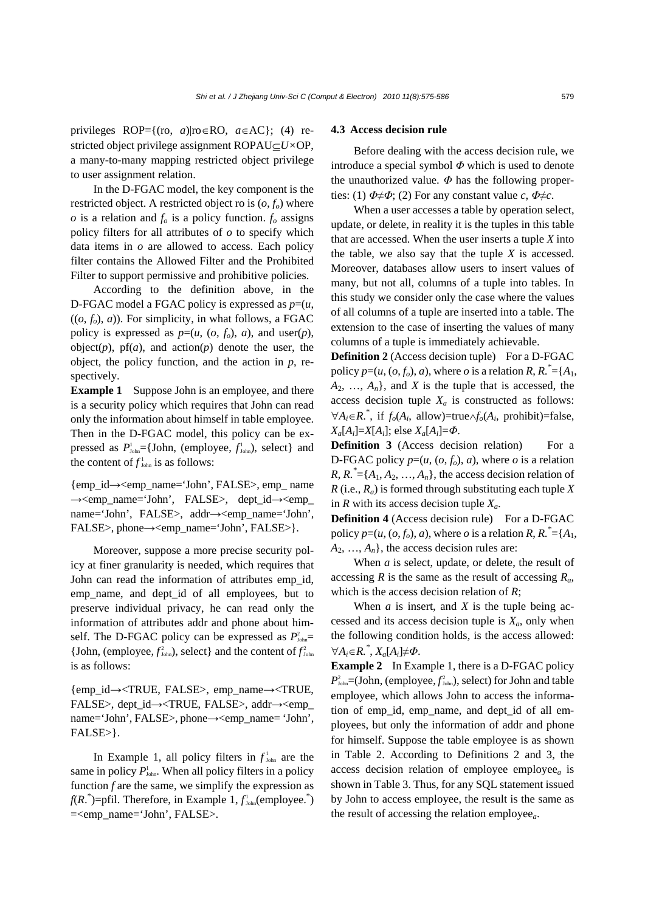privileges ROP={(ro, *a*)|ro∈RO, *a*∈AC}; (4) restricted object privilege assignment ROPAU⊆*U×*OP, a many-to-many mapping restricted object privilege to user assignment relation.

In the D-FGAC model, the key component is the restricted object. A restricted object ro is  $(o, f<sub>o</sub>)$  where  $\sigma$  is a relation and  $f_{\sigma}$  is a policy function.  $f_{\sigma}$  assigns policy filters for all attributes of *o* to specify which data items in *o* are allowed to access. Each policy filter contains the Allowed Filter and the Prohibited Filter to support permissive and prohibitive policies.

According to the definition above, in the D-FGAC model a FGAC policy is expressed as *p*=(*u*,  $((o, f<sub>o</sub>), a))$ . For simplicity, in what follows, a FGAC policy is expressed as  $p=(u, (o, f_o), a)$ , and user $(p)$ , object $(p)$ ,  $pf(a)$ , and  $action(p)$  denote the user, the object, the policy function, and the action in *p*, respectively.

**Example 1** Suppose John is an employee, and there is a security policy which requires that John can read only the information about himself in table employee. Then in the D-FGAC model, this policy can be expressed as  $P_{\text{John}}^1 = \{John, (employee, f_{\text{John}}^1), select\} \text{ and }$ the content of  $f_{\text{John}}^1$  is as follows:

{emp\_id→<emp\_name='John', FALSE>, emp\_ name →<emp\_name='John', FALSE>, dept\_id→<emp\_ name='John', FALSE>, addr→<emp\_name='John', FALSE>, phone→<emp\_name='John', FALSE>}.

Moreover, suppose a more precise security policy at finer granularity is needed, which requires that John can read the information of attributes emp\_id, emp\_name, and dept\_id of all employees, but to preserve individual privacy, he can read only the information of attributes addr and phone about himself. The D-FGAC policy can be expressed as  $P_{\text{John}}^2$ {John, (employee,  $f_{\text{John}}^2$ ), select} and the content of  $f_{\text{John}}^2$ is as follows:

{emp\_id→<TRUE, FALSE>, emp\_name→<TRUE, FALSE>, dept\_id→<TRUE, FALSE>, addr→<emp\_ name='John', FALSE>, phone→<emp\_name= 'John', FALSE>}.

In Example 1, all policy filters in  $f_{\text{John}}^1$  are the same in policy  $P_{\text{John}}^1$ . When all policy filters in a policy function  $f$  are the same, we simplify the expression as  $f(R^*)$ =pfil. Therefore, in Example 1,  $f^1_{\text{John}}$ (employee.<sup>\*</sup>) =<emp\_name='John', FALSE>.

#### **4.3 Access decision rule**

Before dealing with the access decision rule, we introduce a special symbol  $\Phi$  which is used to denote the unauthorized value. *Φ* has the following properties: (1)  $\Phi \neq \Phi$ ; (2) For any constant value *c*,  $\Phi \neq c$ .

When a user accesses a table by operation select, update, or delete, in reality it is the tuples in this table that are accessed. When the user inserts a tuple *X* into the table, we also say that the tuple *X* is accessed. Moreover, databases allow users to insert values of many, but not all, columns of a tuple into tables. In this study we consider only the case where the values of all columns of a tuple are inserted into a table. The extension to the case of inserting the values of many columns of a tuple is immediately achievable.

**Definition 2** (Access decision tuple) For a D-FGAC policy  $p=(u, (o, f_o), a)$ , where *o* is a relation *R*,  $R$ .  $* = {A_1, A_2}$  $A_2, \ldots, A_n$ , and *X* is the tuple that is accessed, the access decision tuple  $X_a$  is constructed as follows:  $\forall A_i \in \mathbb{R}^*$ , if *f<sub>o</sub>*( $A_i$ , allow)=true∧*f<sub>o</sub>*( $A_i$ , prohibit)=false,  $X_a[A_i]=X[A_i]$ ; else  $X_a[A_i]=\Phi$ .

**Definition 3** (Access decision relation) For a D-FGAC policy  $p=(u, (o, f_o), a)$ , where *o* is a relation  $R, R^* = \{A_1, A_2, \ldots, A_n\}$ , the access decision relation of *R* (i.e., *Ra*) is formed through substituting each tuple *X* in *R* with its access decision tuple  $X_a$ .

**Definition 4** (Access decision rule) For a D-FGAC policy  $p=(u, (o, f_o), a)$ , where *o* is a relation *R*,  $R \cdot \overline{\mathbb{I}} = \{A_1, A_2, A_3, A_4, A_5, A_6, A_7, A_8, A_9, A_9, A_9, A_1, A_2, A_3, A_4, A_1, A_2, A_3, A_4, A_5, A_6, A_7, A_8, A_9, A_1, A_2, A_3, A_4, A_5, A_6, A_1, A_2, A_3, A_4, A_5, A_6, A_1, A_2, A$  $A_2, \ldots, A_n$ , the access decision rules are:

When *a* is select, update, or delete, the result of accessing *R* is the same as the result of accessing *Ra*, which is the access decision relation of *R*;

When  $a$  is insert, and  $X$  is the tuple being accessed and its access decision tuple is  $X_a$ , only when the following condition holds, is the access allowed: ∀*Ai*∈*R.\** , *Xa*[*Ai*]≠*Φ*.

**Example 2** In Example 1, there is a D-FGAC policy  $P_{\text{John}}^2$ =(John, (employee,  $f_{\text{John}}^2$ ), select) for John and table employee, which allows John to access the information of emp\_id, emp\_name, and dept\_id of all employees, but only the information of addr and phone for himself. Suppose the table employee is as shown in Table 2. According to Definitions 2 and 3, the access decision relation of employee employee*<sup>a</sup>* is shown in Table 3. Thus, for any SQL statement issued by John to access employee, the result is the same as the result of accessing the relation employee*a*.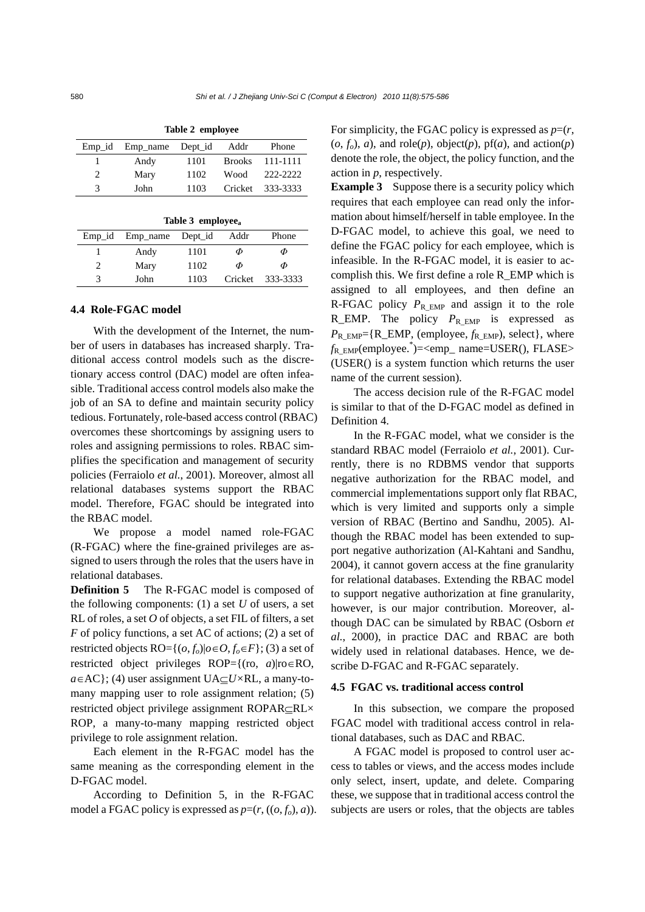| $Emp$ id                      | Emp name Dept id |      | Addr | Phone            |  |
|-------------------------------|------------------|------|------|------------------|--|
|                               | Andy             | 1101 |      | Brooks 111-1111  |  |
| $\mathfrak{D}_{\mathfrak{p}}$ | Mary             | 1102 | Wood | 222-2222         |  |
| 3                             | John             | 1103 |      | Cricket 333-3333 |  |
|                               |                  |      |      |                  |  |

**Table 2 employee** 

| Table 3 employee <sub>a</sub> |          |         |      |                  |  |  |  |
|-------------------------------|----------|---------|------|------------------|--|--|--|
| $Emp_id$                      | Emp_name | Dept_id | Addr | Phone            |  |  |  |
|                               | Andy     | 1101    | Φ    | Φ                |  |  |  |
| $\mathcal{L}$                 | Mary     | 1102    | Φ    | Φ                |  |  |  |
| 3                             | John     | 1103    |      | Cricket 333-3333 |  |  |  |

#### **4.4 Role-FGAC model**

With the development of the Internet, the number of users in databases has increased sharply. Traditional access control models such as the discretionary access control (DAC) model are often infeasible. Traditional access control models also make the job of an SA to define and maintain security policy tedious. Fortunately, role-based access control (RBAC) overcomes these shortcomings by assigning users to roles and assigning permissions to roles. RBAC simplifies the specification and management of security policies (Ferraiolo *et al.*, 2001). Moreover, almost all relational databases systems support the RBAC model. Therefore, FGAC should be integrated into the RBAC model.

We propose a model named role-FGAC (R-FGAC) where the fine-grained privileges are assigned to users through the roles that the users have in relational databases.

**Definition 5** The R-FGAC model is composed of the following components: (1) a set *U* of users, a set RL of roles, a set *O* of objects, a set FIL of filters, a set *F* of policy functions, a set AC of actions; (2) a set of restricted objects RO= $\{(o, f_o)|o \in O, f_o \in F\}$ ; (3) a set of restricted object privileges ROP={(ro, *a*)|ro∈RO, *a*∈AC}; (4) user assignment UA⊆*U×*RL, a many-tomany mapping user to role assignment relation; (5) restricted object privilege assignment ROPAR⊆RL× ROP, a many-to-many mapping restricted object privilege to role assignment relation.

Each element in the R-FGAC model has the same meaning as the corresponding element in the D-FGAC model.

According to Definition 5, in the R-FGAC model a FGAC policy is expressed as  $p=(r, ((o, f_o), a))$ . For simplicity, the FGAC policy is expressed as  $p=(r, 0)$  $(o, f_o)$ , *a*), and role(*p*), object(*p*), pf(*a*), and action(*p*) denote the role, the object, the policy function, and the action in *p*, respectively.

**Example 3** Suppose there is a security policy which requires that each employee can read only the information about himself/herself in table employee. In the D-FGAC model, to achieve this goal, we need to define the FGAC policy for each employee, which is infeasible. In the R-FGAC model, it is easier to accomplish this. We first define a role R\_EMP which is assigned to all employees, and then define an R-FGAC policy  $P_{\text{R}_\text{EMP}}$  and assign it to the role R\_EMP. The policy  $P_{R|EMP}$  is expressed as *P*R\_EMP={R\_EMP, (employee, *f*R\_EMP), select}, where *f*R\_EMP(employee.\* )=<emp\_ name=USER(), FLASE> (USER() is a system function which returns the user name of the current session).

The access decision rule of the R-FGAC model is similar to that of the D-FGAC model as defined in Definition 4.

In the R-FGAC model, what we consider is the standard RBAC model (Ferraiolo *et al.*, 2001). Currently, there is no RDBMS vendor that supports negative authorization for the RBAC model, and commercial implementations support only flat RBAC, which is very limited and supports only a simple version of RBAC (Bertino and Sandhu, 2005). Although the RBAC model has been extended to support negative authorization (Al-Kahtani and Sandhu, 2004), it cannot govern access at the fine granularity for relational databases. Extending the RBAC model to support negative authorization at fine granularity, however, is our major contribution. Moreover, although DAC can be simulated by RBAC (Osborn *et al.*, 2000), in practice DAC and RBAC are both widely used in relational databases. Hence, we describe D-FGAC and R-FGAC separately.

# **4.5 FGAC vs. traditional access control**

In this subsection, we compare the proposed FGAC model with traditional access control in relational databases, such as DAC and RBAC.

A FGAC model is proposed to control user access to tables or views, and the access modes include only select, insert, update, and delete. Comparing these, we suppose that in traditional access control the subjects are users or roles, that the objects are tables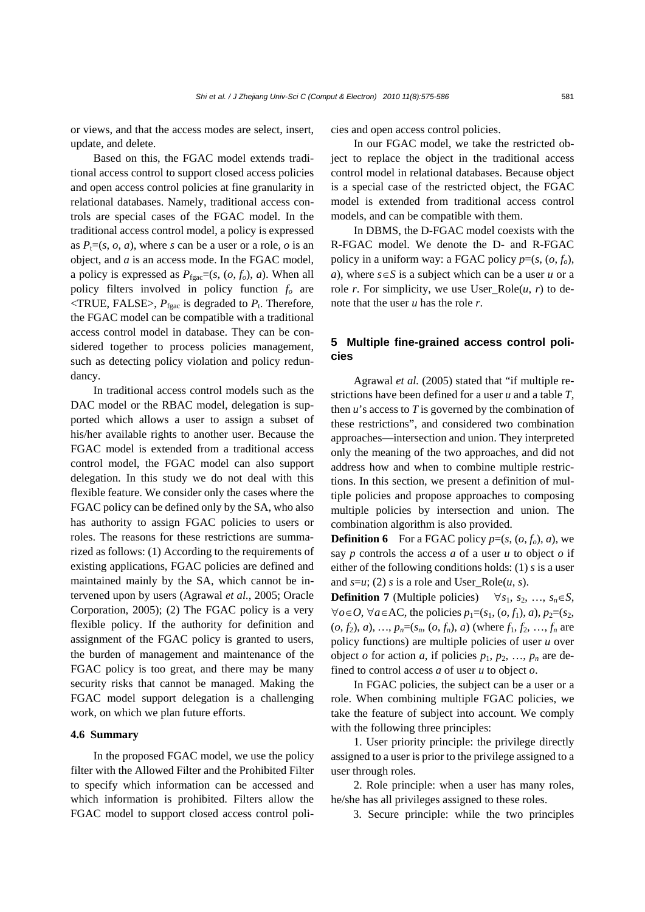or views, and that the access modes are select, insert, update, and delete.

Based on this, the FGAC model extends traditional access control to support closed access policies and open access control policies at fine granularity in relational databases. Namely, traditional access controls are special cases of the FGAC model. In the traditional access control model, a policy is expressed as  $P_t=(s, o, a)$ , where *s* can be a user or a role, *o* is an object, and *a* is an access mode. In the FGAC model, a policy is expressed as  $P_{\text{fgac}} = (s, (o, f_o), a)$ . When all policy filters involved in policy function *fo* are  $\langle$ TRUE, FALSE>,  $P_{\text{face}}$  is degraded to  $P_t$ . Therefore, the FGAC model can be compatible with a traditional access control model in database. They can be considered together to process policies management, such as detecting policy violation and policy redundancy.

In traditional access control models such as the DAC model or the RBAC model, delegation is supported which allows a user to assign a subset of his/her available rights to another user. Because the FGAC model is extended from a traditional access control model, the FGAC model can also support delegation. In this study we do not deal with this flexible feature. We consider only the cases where the FGAC policy can be defined only by the SA, who also has authority to assign FGAC policies to users or roles. The reasons for these restrictions are summarized as follows: (1) According to the requirements of existing applications, FGAC policies are defined and maintained mainly by the SA, which cannot be intervened upon by users (Agrawal *et al.*, 2005; Oracle Corporation, 2005); (2) The FGAC policy is a very flexible policy. If the authority for definition and assignment of the FGAC policy is granted to users, the burden of management and maintenance of the FGAC policy is too great, and there may be many security risks that cannot be managed. Making the FGAC model support delegation is a challenging work, on which we plan future efforts.

# **4.6 Summary**

In the proposed FGAC model, we use the policy filter with the Allowed Filter and the Prohibited Filter to specify which information can be accessed and which information is prohibited. Filters allow the FGAC model to support closed access control policies and open access control policies.

In our FGAC model, we take the restricted object to replace the object in the traditional access control model in relational databases. Because object is a special case of the restricted object, the FGAC model is extended from traditional access control models, and can be compatible with them.

In DBMS, the D-FGAC model coexists with the R-FGAC model. We denote the D- and R-FGAC policy in a uniform way: a FGAC policy  $p=(s, (o, f_o))$ , *a*), where *s*∈*S* is a subject which can be a user *u* or a role *r*. For simplicity, we use User\_Role $(u, r)$  to denote that the user *u* has the role *r*.

# **5 Multiple fine-grained access control policies**

Agrawal *et al.* (2005) stated that "if multiple restrictions have been defined for a user *u* and a table *T*, then *u*'s access to *T* is governed by the combination of these restrictions", and considered two combination approaches—intersection and union. They interpreted only the meaning of the two approaches, and did not address how and when to combine multiple restrictions. In this section, we present a definition of multiple policies and propose approaches to composing multiple policies by intersection and union. The combination algorithm is also provided.

**Definition 6** For a FGAC policy  $p=(s, (o, f_o), a)$ , we say *p* controls the access *a* of a user *u* to object *o* if either of the following conditions holds: (1) *s* is a user and  $s=u$ ; (2) *s* is a role and User Role(*u*, *s*).

**Definition 7** (Multiple policies)  $\forall s_1, s_2, ..., s_n \in S$ ,  $∀*o*∈*O*, ∀*a*∈AC, the policies *p*<sub>1</sub>=(*s*<sub>1</sub>, (*o*, *f*<sub>1</sub>), *a*), *p*<sub>2</sub>=(*s*<sub>2</sub>,$  $(o, f_2), a), \ldots, p_n = (s_n, (o, f_n), a)$  (where  $f_1, f_2, \ldots, f_n$  are policy functions) are multiple policies of user *u* over object *o* for action *a*, if policies  $p_1, p_2, ..., p_n$  are defined to control access *a* of user *u* to object *o*.

In FGAC policies, the subject can be a user or a role. When combining multiple FGAC policies, we take the feature of subject into account. We comply with the following three principles:

1. User priority principle: the privilege directly assigned to a user is prior to the privilege assigned to a user through roles.

2. Role principle: when a user has many roles, he/she has all privileges assigned to these roles.

3. Secure principle: while the two principles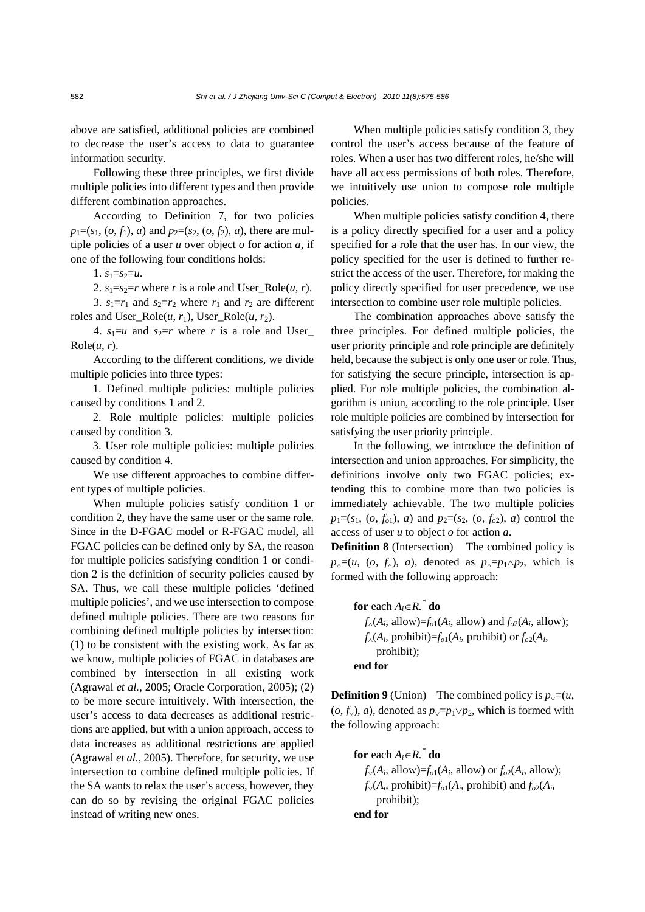above are satisfied, additional policies are combined to decrease the user's access to data to guarantee information security.

Following these three principles, we first divide multiple policies into different types and then provide different combination approaches.

According to Definition 7, for two policies  $p_1=(s_1, (o, f_1), a)$  and  $p_2=(s_2, (o, f_2), a)$ , there are multiple policies of a user *u* over object *o* for action *a*, if one of the following four conditions holds:

1.  $s_1 = s_2 = u$ .

2.  $s_1 = s_2 = r$  where *r* is a role and User\_Role(*u*, *r*).

3.  $s_1 = r_1$  and  $s_2 = r_2$  where  $r_1$  and  $r_2$  are different roles and User\_Role( $u$ ,  $r_1$ ), User\_Role( $u$ ,  $r_2$ ).

4.  $s_1 = u$  and  $s_2 = r$  where *r* is a role and User  $Role(u, r)$ .

According to the different conditions, we divide multiple policies into three types:

1. Defined multiple policies: multiple policies caused by conditions 1 and 2.

2. Role multiple policies: multiple policies caused by condition 3.

3. User role multiple policies: multiple policies caused by condition 4.

We use different approaches to combine different types of multiple policies.

When multiple policies satisfy condition 1 or condition 2, they have the same user or the same role. Since in the D-FGAC model or R-FGAC model, all FGAC policies can be defined only by SA, the reason for multiple policies satisfying condition 1 or condition 2 is the definition of security policies caused by SA. Thus, we call these multiple policies 'defined multiple policies', and we use intersection to compose defined multiple policies. There are two reasons for combining defined multiple policies by intersection: (1) to be consistent with the existing work. As far as we know, multiple policies of FGAC in databases are combined by intersection in all existing work (Agrawal *et al.*, 2005; Oracle Corporation, 2005); (2) to be more secure intuitively. With intersection, the user's access to data decreases as additional restrictions are applied, but with a union approach, access to data increases as additional restrictions are applied (Agrawal *et al.*, 2005). Therefore, for security, we use intersection to combine defined multiple policies. If the SA wants to relax the user's access, however, they can do so by revising the original FGAC policies instead of writing new ones.

When multiple policies satisfy condition 3, they control the user's access because of the feature of roles. When a user has two different roles, he/she will have all access permissions of both roles. Therefore, we intuitively use union to compose role multiple policies.

When multiple policies satisfy condition 4, there is a policy directly specified for a user and a policy specified for a role that the user has. In our view, the policy specified for the user is defined to further restrict the access of the user. Therefore, for making the policy directly specified for user precedence, we use intersection to combine user role multiple policies.

The combination approaches above satisfy the three principles. For defined multiple policies, the user priority principle and role principle are definitely held, because the subject is only one user or role. Thus, for satisfying the secure principle, intersection is applied. For role multiple policies, the combination algorithm is union, according to the role principle. User role multiple policies are combined by intersection for satisfying the user priority principle.

In the following, we introduce the definition of intersection and union approaches. For simplicity, the definitions involve only two FGAC policies; extending this to combine more than two policies is immediately achievable. The two multiple policies  $p_1=(s_1, (o, f_{o1}), a)$  and  $p_2=(s_2, (o, f_{o2}), a)$  control the access of user *u* to object *o* for action *a*.

**Definition 8** (Intersection) The combined policy is  $p_{\land}=(u, (o, f_{\land})$ , *a*), denoted as  $p_{\land}=p_1 \land p_2$ , which is formed with the following approach:

**for** each  $A_i \in R$ .<sup>\*</sup> **do**  $f_0(A_i, \text{allow}) = f_0(A_i, \text{allow})$  and  $f_0(A_i, \text{allow})$ ;  $f_0(A_i)$ , prohibit)= $f_0(A_i)$ , prohibit) or  $f_0(2(A_i))$ prohibit); **end for** 

**Definition 9** (Union) The combined policy is  $p_{\vee}=(u,$  $(o, f<sub>√</sub>)$ , *a*), denoted as  $p<sub>√</sub>=p<sub>1</sub>√p<sub>2</sub>$ , which is formed with the following approach:

**for** each 
$$
A_i \in R
$$
<sup>\*</sup> **do**  
\n $f_v(A_i, \text{allow}) = f_{o1}(A_i, \text{allow})$  or  $f_{o2}(A_i, \text{allow})$ ;  
\n $f_v(A_i, \text{prohibit}) = f_{o1}(A_i, \text{prohibit})$  and  $f_{o2}(A_i, \text{prohibit})$ ;  
\n**end for**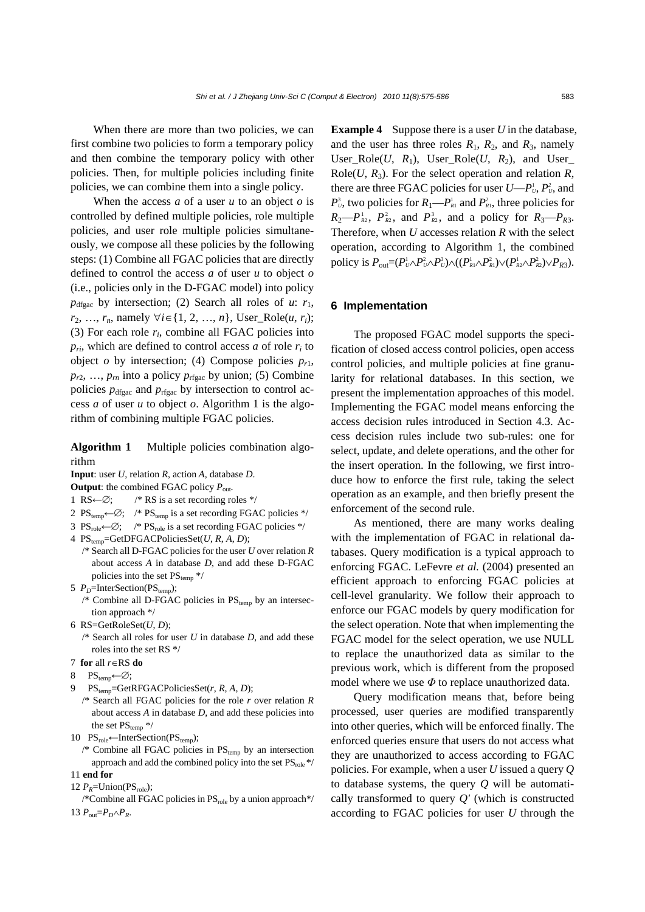When there are more than two policies, we can first combine two policies to form a temporary policy and then combine the temporary policy with other policies. Then, for multiple policies including finite policies, we can combine them into a single policy.

When the access  $a$  of a user  $u$  to an object  $o$  is controlled by defined multiple policies, role multiple policies, and user role multiple policies simultaneously, we compose all these policies by the following steps: (1) Combine all FGAC policies that are directly defined to control the access *a* of user *u* to object *o* (i.e., policies only in the D-FGAC model) into policy  $p_{\text{dfgac}}$  by intersection; (2) Search all roles of *u*:  $r_1$ , *r*<sub>2</sub>, …, *r*<sub>n</sub>, namely ∀*i*∈{1, 2, …, *n*}, User\_Role(*u*, *r<sub>i</sub>*); (3) For each role  $r_i$ , combine all FGAC policies into  $p_{ri}$ , which are defined to control access *a* of role  $r_i$  to object  $o$  by intersection; (4) Compose policies  $p_{r1}$ ,  $p_{r2}$ , ...,  $p_{rn}$  into a policy  $p_{rfgac}$  by union; (5) Combine policies  $p_{\text{dfgac}}$  and  $p_{\text{rfgac}}$  by intersection to control access *a* of user *u* to object *o*. Algorithm 1 is the algorithm of combining multiple FGAC policies.

**Algorithm 1** Multiple policies combination algorithm

**Input**: user *U*, relation *R*, action *A*, database *D*.

**Output**: the combined FGAC policy *P*out.

- 1 RS←∅; /\* RS is a set recording roles \*/
- 2 PS<sub>temp</sub>←∅; /\* PS<sub>temp</sub> is a set recording FGAC policies \*/
- 3 PS<sub>role</sub>←∅; /\* PS<sub>role</sub> is a set recording FGAC policies \*/
- 4 PStemp=GetDFGACPoliciesSet(*U*, *R*, *A*, *D*);
	- /\* Search all D-FGAC policies for the user *U* over relation *R* about access *A* in database *D*, and add these D-FGAC policies into the set  $PS_{temp}$  \*/
- 5 *P<sub>D</sub>*=InterSection(PS<sub>temp</sub>);
	- /\* Combine all D-FGAC policies in  $PS_{temp}$  by an intersection approach \*/
- 6 RS=GetRoleSet(*U*, *D*);
- /\* Search all roles for user *U* in database *D*, and add these roles into the set RS \*/
- 7 **for** all *r*∈RS **do**
- 8 PS<sub>temp</sub>←∅;
- 9 PStemp=GetRFGACPoliciesSet(*r*, *R*, *A*, *D*);
- /\* Search all FGAC policies for the role *r* over relation *R* about access *A* in database *D*, and add these policies into the set  $PS_{temp}$  \*/
- 10 PS $_{\text{role}}$ ←InterSection(PS<sub>temp</sub>);
- /\* Combine all FGAC policies in  $PS_{temp}$  by an intersection approach and add the combined policy into the set  $PS_{role}$  \*/ 11 **end for**
- 12  $P_R$ =Union(PS<sub>role</sub>);

/\*Combine all FGAC policies in  $PS_{role}$  by a union approach\*/ 13  $P_{\text{out}}=P_D \wedge P_R$ .

**Example 4** Suppose there is a user *U* in the database, and the user has three roles  $R_1$ ,  $R_2$ , and  $R_3$ , namely User\_Role(*U*,  $R_1$ ), User\_Role(*U*,  $R_2$ ), and User\_ Role(*U*,  $R_3$ ). For the select operation and relation  $R$ , there are three FGAC policies for user  $U-P_v^1$ ,  $P_v^2$ , and  $P_v^3$ , two policies for  $R_1 \rightarrow P_{R_1}^1$  and  $P_{R_1}^2$ , three policies for  $R_2-P_{R_2}^1$ ,  $P_{R_2}^2$ , and  $P_{R_2}^3$ , and a policy for  $R_3-P_{R_3}$ . Therefore, when *U* accesses relation *R* with the select operation, according to Algorithm 1, the combined  $\text{policy is } P_{\text{out}} = (P_{\text{U}}^1 \wedge P_{\text{U}}^2 \wedge P_{\text{U}}^3) \wedge ((P_{\text{R1}}^1 \wedge P_{\text{R1}}^2) \vee (P_{\text{R2}}^1 \wedge P_{\text{R2}}^2) \vee P_{\text{R3}}).$ 

#### **6 Implementation**

The proposed FGAC model supports the specification of closed access control policies, open access control policies, and multiple policies at fine granularity for relational databases. In this section, we present the implementation approaches of this model. Implementing the FGAC model means enforcing the access decision rules introduced in Section 4.3. Access decision rules include two sub-rules: one for select, update, and delete operations, and the other for the insert operation. In the following, we first introduce how to enforce the first rule, taking the select operation as an example, and then briefly present the enforcement of the second rule.

As mentioned, there are many works dealing with the implementation of FGAC in relational databases. Query modification is a typical approach to enforcing FGAC. LeFevre *et al.* (2004) presented an efficient approach to enforcing FGAC policies at cell-level granularity. We follow their approach to enforce our FGAC models by query modification for the select operation. Note that when implementing the FGAC model for the select operation, we use NULL to replace the unauthorized data as similar to the previous work, which is different from the proposed model where we use *Φ* to replace unauthorized data.

Query modification means that, before being processed, user queries are modified transparently into other queries, which will be enforced finally. The enforced queries ensure that users do not access what they are unauthorized to access according to FGAC policies. For example, when a user *U* issued a query *Q* to database systems, the query *Q* will be automatically transformed to query *Q'* (which is constructed according to FGAC policies for user *U* through the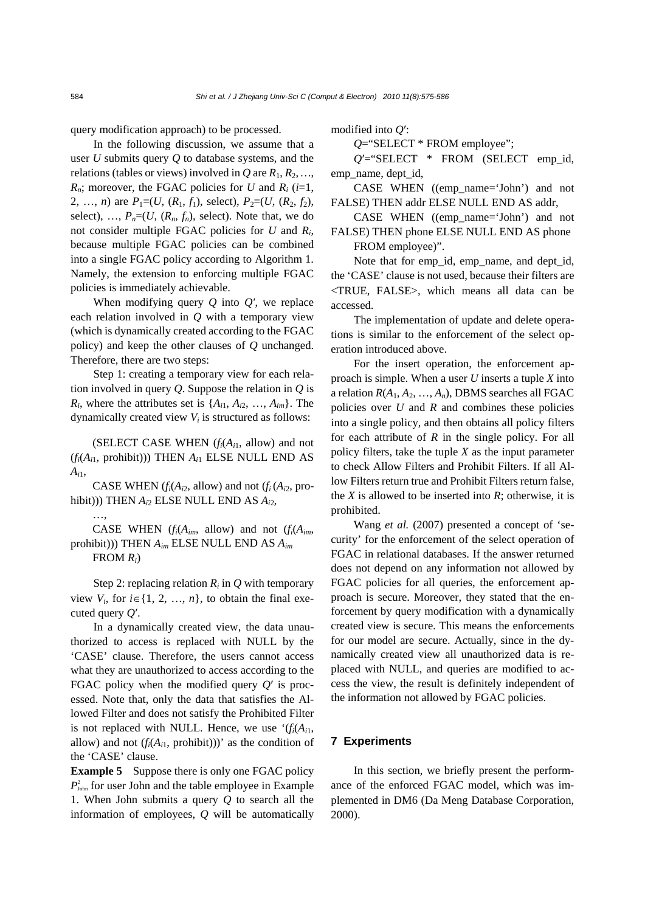query modification approach) to be processed.

In the following discussion, we assume that a user *U* submits query *Q* to database systems, and the relations (tables or views) involved in  $Q$  are  $R_1, R_2, \ldots$ ,  $R_n$ ; moreover, the FGAC policies for *U* and  $R_i$  (*i*=1, 2, ..., *n*) are  $P_1 = (U, (R_1, f_1),$  select),  $P_2 = (U, (R_2, f_2),$ select), ...,  $P_n=(U, (R_n, f_n))$ , select). Note that, we do not consider multiple FGAC policies for *U* and *Ri*, because multiple FGAC policies can be combined into a single FGAC policy according to Algorithm 1. Namely, the extension to enforcing multiple FGAC policies is immediately achievable.

When modifying query *Q* into *Q'*, we replace each relation involved in *Q* with a temporary view (which is dynamically created according to the FGAC policy) and keep the other clauses of *Q* unchanged. Therefore, there are two steps:

Step 1: creating a temporary view for each relation involved in query *Q*. Suppose the relation in *Q* is  $R_i$ , where the attributes set is  $\{A_{i1}, A_{i2}, ..., A_{im}\}$ . The dynamically created view  $V_i$  is structured as follows:

(SELECT CASE WHEN  $(f_i(A_{i1}, \text{allow})$  and not (*fi*(*Ai*1, prohibit))) THEN *Ai*1 ELSE NULL END AS  $A_{i1}$ 

CASE WHEN  $(f_i(A_{i2}, \text{allow})$  and not  $(f_i(A_{i2}, \text{pro-}$ hibit))) THEN *Ai*2 ELSE NULL END AS *Ai*2,

…,

CASE WHEN  $(f_i(A_{im},$  allow) and not  $(f_i(A_{im},$ prohibit))) THEN *Aim* ELSE NULL END AS *Aim* FROM *Ri*)

Step 2: replacing relation  $R_i$  in  $Q$  with temporary view  $V_i$ , for  $i \in \{1, 2, ..., n\}$ , to obtain the final executed query *Q*′.

In a dynamically created view, the data unauthorized to access is replaced with NULL by the 'CASE' clause. Therefore, the users cannot access what they are unauthorized to access according to the FGAC policy when the modified query *Q*′ is processed. Note that, only the data that satisfies the Allowed Filter and does not satisfy the Prohibited Filter is not replaced with NULL. Hence, we use  $(f_i(A_i),$ allow) and not  $(f_i(A_{i1}, \text{prohibit})))$ ' as the condition of the 'CASE' clause.

**Example 5** Suppose there is only one FGAC policy  $P_{\text{John}}^2$  for user John and the table employee in Example 1. When John submits a query *Q* to search all the information of employees, *Q* will be automatically

modified into *Q*′:

*Q*="SELECT \* FROM employee";

*Q*′="SELECT \* FROM (SELECT emp\_id, emp\_name, dept\_id,

CASE WHEN ((emp\_name='John') and not FALSE) THEN addr ELSE NULL END AS addr,

CASE WHEN ((emp\_name='John') and not FALSE) THEN phone ELSE NULL END AS phone

FROM employee)".

Note that for emp\_id, emp\_name, and dept\_id, the 'CASE' clause is not used, because their filters are <TRUE, FALSE>, which means all data can be accessed.

The implementation of update and delete operations is similar to the enforcement of the select operation introduced above.

For the insert operation, the enforcement approach is simple. When a user *U* inserts a tuple *X* into a relation  $R(A_1, A_2, ..., A_n)$ , DBMS searches all FGAC policies over *U* and *R* and combines these policies into a single policy, and then obtains all policy filters for each attribute of *R* in the single policy. For all policy filters, take the tuple *X* as the input parameter to check Allow Filters and Prohibit Filters. If all Allow Filters return true and Prohibit Filters return false, the *X* is allowed to be inserted into *R*; otherwise, it is prohibited.

Wang *et al.* (2007) presented a concept of 'security' for the enforcement of the select operation of FGAC in relational databases. If the answer returned does not depend on any information not allowed by FGAC policies for all queries, the enforcement approach is secure. Moreover, they stated that the enforcement by query modification with a dynamically created view is secure. This means the enforcements for our model are secure. Actually, since in the dynamically created view all unauthorized data is replaced with NULL, and queries are modified to access the view, the result is definitely independent of the information not allowed by FGAC policies.

# **7 Experiments**

In this section, we briefly present the performance of the enforced FGAC model, which was implemented in DM6 (Da Meng Database Corporation, 2000).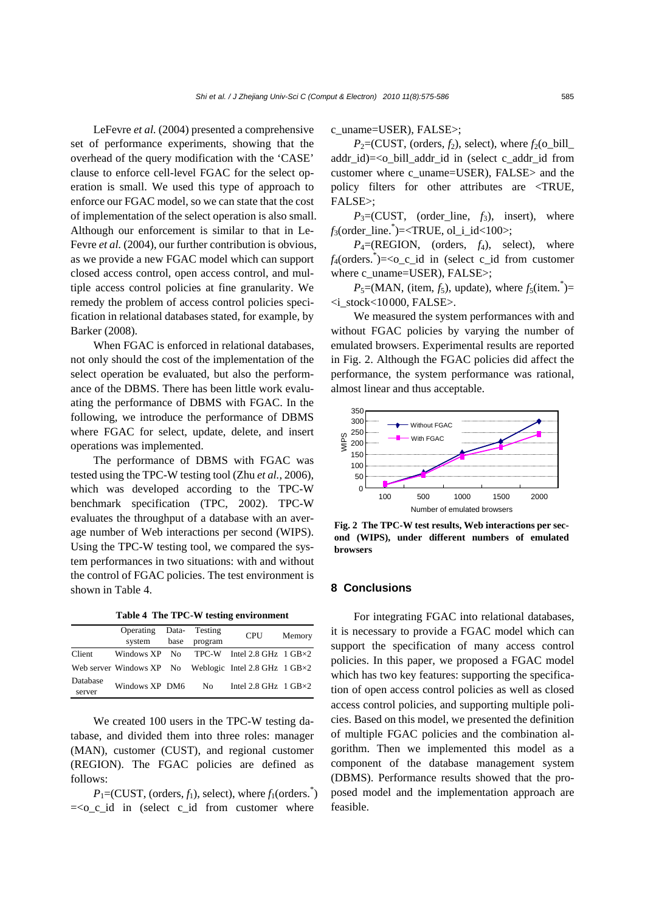LeFevre *et al.* (2004) presented a comprehensive set of performance experiments, showing that the overhead of the query modification with the 'CASE' clause to enforce cell-level FGAC for the select operation is small. We used this type of approach to enforce our FGAC model, so we can state that the cost of implementation of the select operation is also small. Although our enforcement is similar to that in Le-Fevre *et al.* (2004), our further contribution is obvious, as we provide a new FGAC model which can support closed access control, open access control, and multiple access control policies at fine granularity. We remedy the problem of access control policies specification in relational databases stated, for example, by Barker (2008).

When FGAC is enforced in relational databases, not only should the cost of the implementation of the select operation be evaluated, but also the performance of the DBMS. There has been little work evaluating the performance of DBMS with FGAC. In the following, we introduce the performance of DBMS where FGAC for select, update, delete, and insert operations was implemented.

The performance of DBMS with FGAC was tested using the TPC-W testing tool (Zhu *et al.*, 2006), which was developed according to the TPC-W benchmark specification (TPC, 2002). TPC-W evaluates the throughput of a database with an average number of Web interactions per second (WIPS). Using the TPC-W testing tool, we compared the system performances in two situations: with and without the control of FGAC policies. The test environment is shown in Table 4.

**Table 4 The TPC-W testing environment**

|                    | Operating      |      | Data- Testing | <b>CPU</b>                                                        | Memory |
|--------------------|----------------|------|---------------|-------------------------------------------------------------------|--------|
|                    | system         | base | program       |                                                                   |        |
| Client             |                |      |               | Windows $XP$ No TPC-W Intel 2.8 GHz $1$ GB $\times$ 2             |        |
|                    |                |      |               | Web server Windows $XP$ No Weblogic Intel 2.8 GHz 1 GB $\times$ 2 |        |
| Database<br>server | Windows XP DM6 |      | No.           | Intel 2.8 GHz $1$ GB $\times$ 2                                   |        |

We created 100 users in the TPC-W testing database, and divided them into three roles: manager (MAN), customer (CUST), and regional customer (REGION). The FGAC policies are defined as follows:

 $P_1 = (CUST, (orders, f_1), select), where f_1(orders.)$  $=<$ o c id in (select c id from customer where

c\_uname=USER), FALSE>;

 $P_2$ =(CUST, (orders,  $f_2$ ), select), where  $f_2$ (o\_bill\_ addr\_id)=<o\_bill\_addr\_id in (select c\_addr\_id from customer where c\_uname=USER), FALSE> and the policy filters for other attributes are <TRUE, FALSE>;

 $P_3$ =(CUST, (order line,  $f_3$ ), insert), where *f*3(order\_line.\* )=<TRUE, ol\_i\_id<100>;

 $P_4 = (REGION, (orders, f_4), select), where$ *f*4(orders.\* )=<o\_c\_id in (select c\_id from customer where c\_uname=USER), FALSE>;

 $P_5 = (MAN, (item, f_5), update)$ , where  $f_5$ (item.<sup>\*</sup>)= <i\_stock<10000, FALSE>.

We measured the system performances with and without FGAC policies by varying the number of emulated browsers. Experimental results are reported in Fig. 2. Although the FGAC policies did affect the performance, the system performance was rational, almost linear and thus acceptable.



**Fig. 2 The TPC-W test results, Web interactions per second (WIPS), under different numbers of emulated browsers**

# **8 Conclusions**

For integrating FGAC into relational databases, it is necessary to provide a FGAC model which can support the specification of many access control policies. In this paper, we proposed a FGAC model which has two key features: supporting the specification of open access control policies as well as closed access control policies, and supporting multiple policies. Based on this model, we presented the definition of multiple FGAC policies and the combination algorithm. Then we implemented this model as a component of the database management system (DBMS). Performance results showed that the proposed model and the implementation approach are feasible.